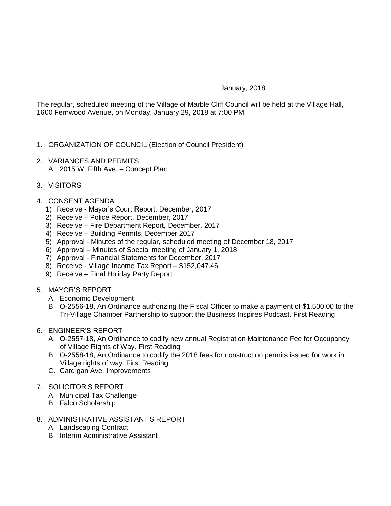## January, 2018

The regular, scheduled meeting of the Village of Marble Cliff Council will be held at the Village Hall, 1600 Fernwood Avenue, on Monday, January 29, 2018 at 7:00 PM.

- 1. ORGANIZATION OF COUNCIL (Election of Council President)
- 2. VARIANCES AND PERMITS A. 2015 W. Fifth Ave. – Concept Plan
- 3. VISITORS
- 4. CONSENT AGENDA
	- 1) Receive Mayor's Court Report, December, 2017
	- 2) Receive Police Report, December, 2017
	- 3) Receive Fire Department Report, December, 2017
	- 4) Receive Building Permits, December 2017
	- 5) Approval Minutes of the regular, scheduled meeting of December 18, 2017
	- 6) Approval Minutes of Special meeting of January 1, 2018
	- 7) Approval Financial Statements for December, 2017
	- 8) Receive Village Income Tax Report \$152,047.46
	- 9) Receive Final Holiday Party Report
- 5. MAYOR'S REPORT
	- A. Economic Development
	- B. O-2556-18, An Ordinance authorizing the Fiscal Officer to make a payment of \$1,500.00 to the Tri-Village Chamber Partnership to support the Business Inspires Podcast. First Reading
- 6. ENGINEER'S REPORT
	- A. O-2557-18, An Ordinance to codify new annual Registration Maintenance Fee for Occupancy of Village Rights of Way. First Reading
	- B. O-2558-18, An Ordinance to codify the 2018 fees for construction permits issued for work in Village rights of way. First Reading
	- C. Cardigan Ave. Improvements
- 7. SOLICITOR'S REPORT
	- A. Municipal Tax Challenge
	- B. Falco Scholarship
- 8. ADMINISTRATIVE ASSISTANT'S REPORT
	- A. Landscaping Contract
	- B. Interim Administrative Assistant